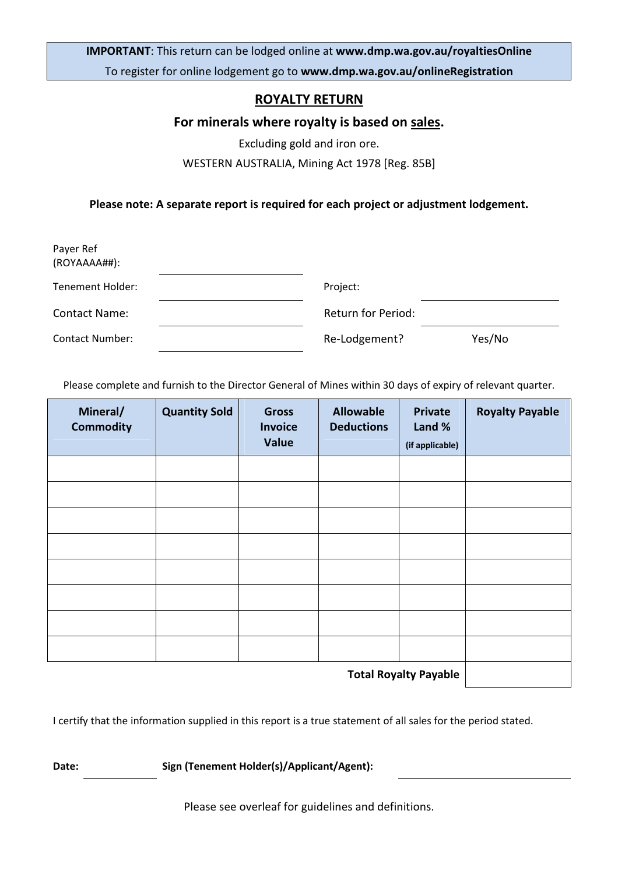IMPORTANT: This return can be lodged online at www.dmp.wa.gov.au/royaltiesOnline To register for online lodgement go to www.dmp.wa.gov.au/onlineRegistration

# ROYALTY RETURN

### For minerals where royalty is based on sales.

Excluding gold and iron ore.

#### WESTERN AUSTRALIA, Mining Act 1978 [Reg. 85B]

#### Please note: A separate report is required for each project or adjustment lodgement.

| Payer Ref<br>(ROYAAAA##): |                           |        |
|---------------------------|---------------------------|--------|
| Tenement Holder:          | Project:                  |        |
| <b>Contact Name:</b>      | <b>Return for Period:</b> |        |
| <b>Contact Number:</b>    | Re-Lodgement?             | Yes/No |

Please complete and furnish to the Director General of Mines within 30 days of expiry of relevant quarter.

| Mineral/<br><b>Commodity</b> | <b>Quantity Sold</b> | <b>Gross</b><br><b>Invoice</b><br><b>Value</b> | <b>Allowable</b><br><b>Deductions</b> | <b>Private</b><br>Land %<br>(if applicable) | <b>Royalty Payable</b> |
|------------------------------|----------------------|------------------------------------------------|---------------------------------------|---------------------------------------------|------------------------|
|                              |                      |                                                |                                       |                                             |                        |
|                              |                      |                                                |                                       |                                             |                        |
|                              |                      |                                                |                                       |                                             |                        |
|                              |                      |                                                |                                       |                                             |                        |
|                              |                      |                                                |                                       |                                             |                        |
|                              |                      |                                                |                                       |                                             |                        |
|                              |                      |                                                |                                       |                                             |                        |
|                              |                      |                                                |                                       |                                             |                        |
| <b>Total Royalty Payable</b> |                      |                                                |                                       |                                             |                        |

I certify that the information supplied in this report is a true statement of all sales for the period stated.

Date: Sign (Tenement Holder(s)/Applicant/Agent):

Please see overleaf for guidelines and definitions.